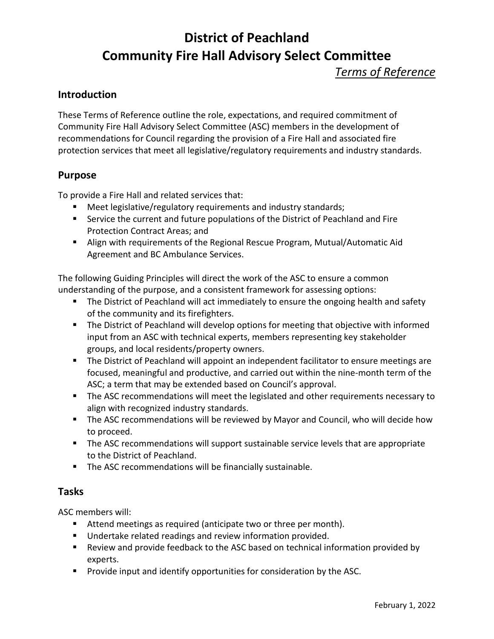*Terms of Reference*

#### **Introduction**

These Terms of Reference outline the role, expectations, and required commitment of Community Fire Hall Advisory Select Committee (ASC) members in the development of recommendations for Council regarding the provision of a Fire Hall and associated fire protection services that meet all legislative/regulatory requirements and industry standards.

#### **Purpose**

To provide a Fire Hall and related services that:

- Meet legislative/regulatory requirements and industry standards;
- Service the current and future populations of the District of Peachland and Fire Protection Contract Areas; and
- Align with requirements of the Regional Rescue Program, Mutual/Automatic Aid Agreement and BC Ambulance Services.

The following Guiding Principles will direct the work of the ASC to ensure a common understanding of the purpose, and a consistent framework for assessing options:

- **The District of Peachland will act immediately to ensure the ongoing health and safety** of the community and its firefighters.
- **The District of Peachland will develop options for meeting that objective with informed** input from an ASC with technical experts, members representing key stakeholder groups, and local residents/property owners.
- **The District of Peachland will appoint an independent facilitator to ensure meetings are** focused, meaningful and productive, and carried out within the nine-month term of the ASC; a term that may be extended based on Council's approval.
- The ASC recommendations will meet the legislated and other requirements necessary to align with recognized industry standards.
- **The ASC recommendations will be reviewed by Mayor and Council, who will decide how** to proceed.
- **The ASC recommendations will support sustainable service levels that are appropriate** to the District of Peachland.
- **The ASC recommendations will be financially sustainable.**

#### **Tasks**

ASC members will:

- Attend meetings as required (anticipate two or three per month).
- Undertake related readings and review information provided.
- Review and provide feedback to the ASC based on technical information provided by experts.
- **Provide input and identify opportunities for consideration by the ASC.**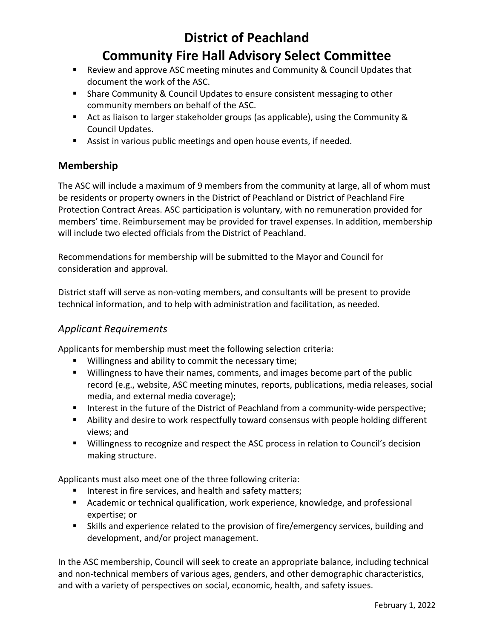- Review and approve ASC meeting minutes and Community & Council Updates that document the work of the ASC.
- **Share Community & Council Updates to ensure consistent messaging to other** community members on behalf of the ASC.
- Act as liaison to larger stakeholder groups (as applicable), using the Community & Council Updates.
- Assist in various public meetings and open house events, if needed.

## **Membership**

The ASC will include a maximum of 9 members from the community at large, all of whom must be residents or property owners in the District of Peachland or District of Peachland Fire Protection Contract Areas. ASC participation is voluntary, with no remuneration provided for members' time. Reimbursement may be provided for travel expenses. In addition, membership will include two elected officials from the District of Peachland.

Recommendations for membership will be submitted to the Mayor and Council for consideration and approval.

District staff will serve as non-voting members, and consultants will be present to provide technical information, and to help with administration and facilitation, as needed.

### *Applicant Requirements*

Applicants for membership must meet the following selection criteria:

- **Willingness and ability to commit the necessary time;**
- Willingness to have their names, comments, and images become part of the public record (e.g., website, ASC meeting minutes, reports, publications, media releases, social media, and external media coverage);
- Interest in the future of the District of Peachland from a community-wide perspective;
- Ability and desire to work respectfully toward consensus with people holding different views; and
- Willingness to recognize and respect the ASC process in relation to Council's decision making structure.

Applicants must also meet one of the three following criteria:

- Interest in fire services, and health and safety matters;
- Academic or technical qualification, work experience, knowledge, and professional expertise; or
- Skills and experience related to the provision of fire/emergency services, building and development, and/or project management.

In the ASC membership, Council will seek to create an appropriate balance, including technical and non-technical members of various ages, genders, and other demographic characteristics, and with a variety of perspectives on social, economic, health, and safety issues.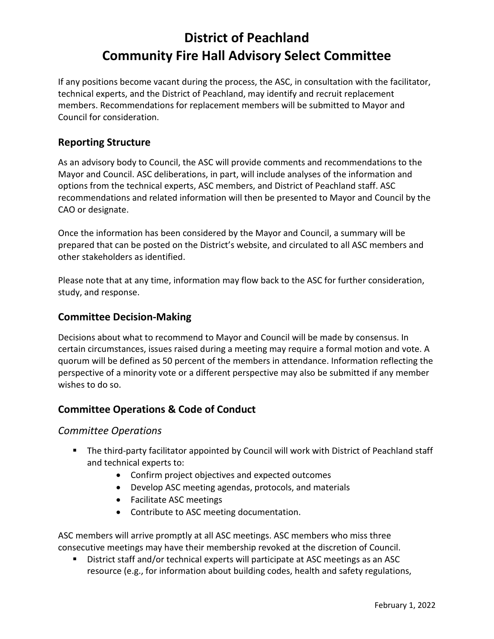If any positions become vacant during the process, the ASC, in consultation with the facilitator, technical experts, and the District of Peachland, may identify and recruit replacement members. Recommendations for replacement members will be submitted to Mayor and Council for consideration.

## **Reporting Structure**

As an advisory body to Council, the ASC will provide comments and recommendations to the Mayor and Council. ASC deliberations, in part, will include analyses of the information and options from the technical experts, ASC members, and District of Peachland staff. ASC recommendations and related information will then be presented to Mayor and Council by the CAO or designate.

Once the information has been considered by the Mayor and Council, a summary will be prepared that can be posted on the District's website, and circulated to all ASC members and other stakeholders as identified.

Please note that at any time, information may flow back to the ASC for further consideration, study, and response.

#### **Committee Decision-Making**

Decisions about what to recommend to Mayor and Council will be made by consensus. In certain circumstances, issues raised during a meeting may require a formal motion and vote. A quorum will be defined as 50 percent of the members in attendance. Information reflecting the perspective of a minority vote or a different perspective may also be submitted if any member wishes to do so.

### **Committee Operations & Code of Conduct**

#### *Committee Operations*

- The third-party facilitator appointed by Council will work with District of Peachland staff and technical experts to:
	- Confirm project objectives and expected outcomes
	- Develop ASC meeting agendas, protocols, and materials
	- Facilitate ASC meetings
	- Contribute to ASC meeting documentation.

ASC members will arrive promptly at all ASC meetings. ASC members who miss three consecutive meetings may have their membership revoked at the discretion of Council.

 District staff and/or technical experts will participate at ASC meetings as an ASC resource (e.g., for information about building codes, health and safety regulations,